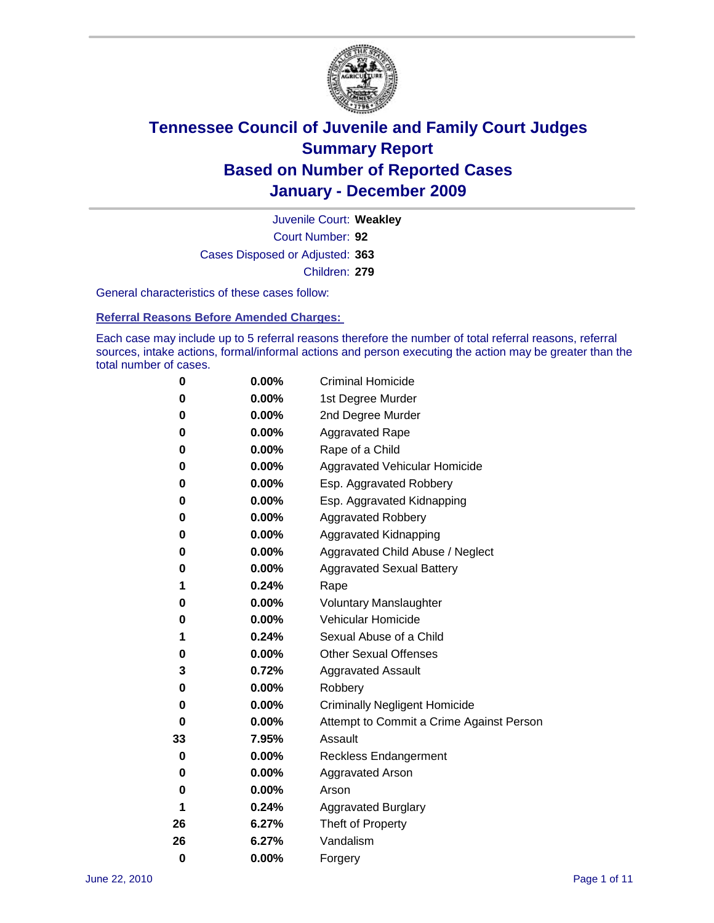

Court Number: **92** Juvenile Court: **Weakley** Cases Disposed or Adjusted: **363** Children: **279**

General characteristics of these cases follow:

**Referral Reasons Before Amended Charges:** 

Each case may include up to 5 referral reasons therefore the number of total referral reasons, referral sources, intake actions, formal/informal actions and person executing the action may be greater than the total number of cases.

| 0  | 0.00%    | <b>Criminal Homicide</b>                 |
|----|----------|------------------------------------------|
| 0  | 0.00%    | 1st Degree Murder                        |
| 0  | 0.00%    | 2nd Degree Murder                        |
| 0  | 0.00%    | <b>Aggravated Rape</b>                   |
| 0  | 0.00%    | Rape of a Child                          |
| 0  | 0.00%    | Aggravated Vehicular Homicide            |
| 0  | 0.00%    | Esp. Aggravated Robbery                  |
| 0  | 0.00%    | Esp. Aggravated Kidnapping               |
| 0  | 0.00%    | <b>Aggravated Robbery</b>                |
| 0  | 0.00%    | Aggravated Kidnapping                    |
| 0  | 0.00%    | Aggravated Child Abuse / Neglect         |
| 0  | $0.00\%$ | <b>Aggravated Sexual Battery</b>         |
| 1  | 0.24%    | Rape                                     |
| 0  | $0.00\%$ | <b>Voluntary Manslaughter</b>            |
| 0  | 0.00%    | Vehicular Homicide                       |
| 1  | 0.24%    | Sexual Abuse of a Child                  |
| 0  | 0.00%    | <b>Other Sexual Offenses</b>             |
| 3  | 0.72%    | <b>Aggravated Assault</b>                |
| 0  | $0.00\%$ | Robbery                                  |
| 0  | 0.00%    | <b>Criminally Negligent Homicide</b>     |
| 0  | 0.00%    | Attempt to Commit a Crime Against Person |
| 33 | 7.95%    | Assault                                  |
| 0  | 0.00%    | <b>Reckless Endangerment</b>             |
| 0  | 0.00%    | <b>Aggravated Arson</b>                  |
| 0  | 0.00%    | Arson                                    |
| 1  | 0.24%    | <b>Aggravated Burglary</b>               |
| 26 | 6.27%    | Theft of Property                        |
| 26 | 6.27%    | Vandalism                                |
| 0  | 0.00%    | Forgery                                  |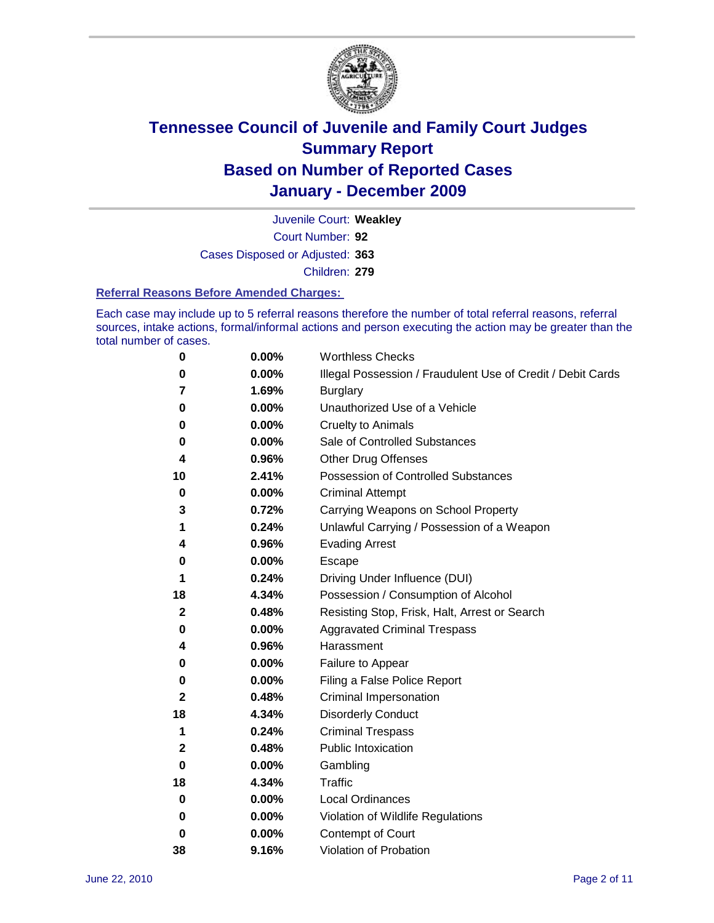

Court Number: **92** Juvenile Court: **Weakley** Cases Disposed or Adjusted: **363** Children: **279**

#### **Referral Reasons Before Amended Charges:**

Each case may include up to 5 referral reasons therefore the number of total referral reasons, referral sources, intake actions, formal/informal actions and person executing the action may be greater than the total number of cases.

| 0  | 0.00% | <b>Worthless Checks</b>                                     |
|----|-------|-------------------------------------------------------------|
| 0  | 0.00% | Illegal Possession / Fraudulent Use of Credit / Debit Cards |
| 7  | 1.69% | <b>Burglary</b>                                             |
| 0  | 0.00% | Unauthorized Use of a Vehicle                               |
| 0  | 0.00% | <b>Cruelty to Animals</b>                                   |
| 0  | 0.00% | Sale of Controlled Substances                               |
| 4  | 0.96% | <b>Other Drug Offenses</b>                                  |
| 10 | 2.41% | Possession of Controlled Substances                         |
| 0  | 0.00% | <b>Criminal Attempt</b>                                     |
| 3  | 0.72% | Carrying Weapons on School Property                         |
| 1  | 0.24% | Unlawful Carrying / Possession of a Weapon                  |
| 4  | 0.96% | <b>Evading Arrest</b>                                       |
| 0  | 0.00% | Escape                                                      |
| 1  | 0.24% | Driving Under Influence (DUI)                               |
| 18 | 4.34% | Possession / Consumption of Alcohol                         |
| 2  | 0.48% | Resisting Stop, Frisk, Halt, Arrest or Search               |
| 0  | 0.00% | <b>Aggravated Criminal Trespass</b>                         |
| 4  | 0.96% | Harassment                                                  |
| 0  | 0.00% | Failure to Appear                                           |
| 0  | 0.00% | Filing a False Police Report                                |
| 2  | 0.48% | Criminal Impersonation                                      |
| 18 | 4.34% | <b>Disorderly Conduct</b>                                   |
| 1  | 0.24% | <b>Criminal Trespass</b>                                    |
| 2  | 0.48% | <b>Public Intoxication</b>                                  |
| 0  | 0.00% | Gambling                                                    |
| 18 | 4.34% | <b>Traffic</b>                                              |
| 0  | 0.00% | <b>Local Ordinances</b>                                     |
| 0  | 0.00% | Violation of Wildlife Regulations                           |
| 0  | 0.00% | Contempt of Court                                           |
| 38 | 9.16% | Violation of Probation                                      |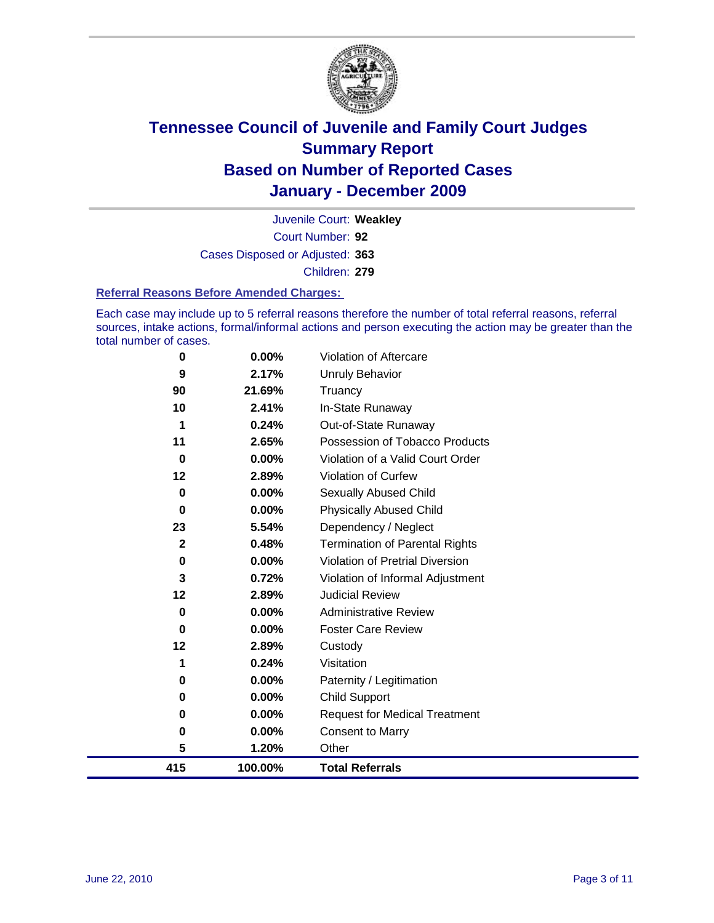

Court Number: **92** Juvenile Court: **Weakley** Cases Disposed or Adjusted: **363** Children: **279**

#### **Referral Reasons Before Amended Charges:**

Each case may include up to 5 referral reasons therefore the number of total referral reasons, referral sources, intake actions, formal/informal actions and person executing the action may be greater than the total number of cases.

| 0            | 0.00%    | Violation of Aftercare                 |
|--------------|----------|----------------------------------------|
| 9            | 2.17%    | Unruly Behavior                        |
| 90           | 21.69%   | Truancy                                |
| 10           | 2.41%    | In-State Runaway                       |
| 1            | 0.24%    | Out-of-State Runaway                   |
| 11           | 2.65%    | Possession of Tobacco Products         |
| 0            | $0.00\%$ | Violation of a Valid Court Order       |
| 12           | 2.89%    | <b>Violation of Curfew</b>             |
| $\bf{0}$     | $0.00\%$ | Sexually Abused Child                  |
| 0            | 0.00%    | <b>Physically Abused Child</b>         |
| 23           | 5.54%    | Dependency / Neglect                   |
| $\mathbf{2}$ | 0.48%    | <b>Termination of Parental Rights</b>  |
| 0            | 0.00%    | <b>Violation of Pretrial Diversion</b> |
| 3            | 0.72%    | Violation of Informal Adjustment       |
| 12           | 2.89%    | <b>Judicial Review</b>                 |
| 0            | $0.00\%$ | <b>Administrative Review</b>           |
| 0            | 0.00%    | <b>Foster Care Review</b>              |
| 12           | 2.89%    | Custody                                |
| 1            | 0.24%    | Visitation                             |
| 0            | $0.00\%$ | Paternity / Legitimation               |
| 0            | 0.00%    | <b>Child Support</b>                   |
| 0            | $0.00\%$ | <b>Request for Medical Treatment</b>   |
| 0            | $0.00\%$ | <b>Consent to Marry</b>                |
| 5            | 1.20%    | Other                                  |
| 415          | 100.00%  | <b>Total Referrals</b>                 |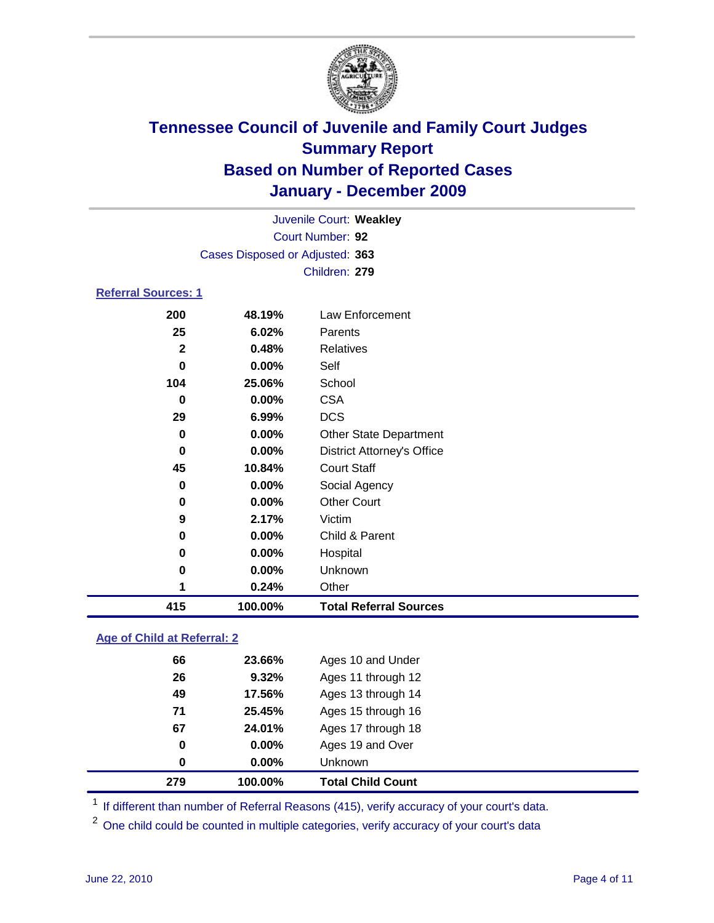

|                            | Juvenile Court: Weakley         |                                   |  |  |  |  |
|----------------------------|---------------------------------|-----------------------------------|--|--|--|--|
|                            | Court Number: 92                |                                   |  |  |  |  |
|                            | Cases Disposed or Adjusted: 363 |                                   |  |  |  |  |
|                            |                                 | Children: 279                     |  |  |  |  |
| <b>Referral Sources: 1</b> |                                 |                                   |  |  |  |  |
| 200                        | 48.19%                          | <b>Law Enforcement</b>            |  |  |  |  |
| 25                         | 6.02%                           | Parents                           |  |  |  |  |
| $\mathbf{2}$               | 0.48%                           | <b>Relatives</b>                  |  |  |  |  |
| $\bf{0}$                   | 0.00%                           | Self                              |  |  |  |  |
| 104                        | 25.06%                          | School                            |  |  |  |  |
| 0                          | 0.00%                           | <b>CSA</b>                        |  |  |  |  |
| 29                         | 6.99%                           | <b>DCS</b>                        |  |  |  |  |
| 0                          | 0.00%                           | <b>Other State Department</b>     |  |  |  |  |
| 0                          | 0.00%                           | <b>District Attorney's Office</b> |  |  |  |  |
| 45<br>10.84%               |                                 | <b>Court Staff</b>                |  |  |  |  |
| 0                          | 0.00%                           | Social Agency                     |  |  |  |  |
| 0                          | 0.00%                           | <b>Other Court</b>                |  |  |  |  |
| 9                          | 2.17%                           | Victim                            |  |  |  |  |
| 0                          | 0.00%                           | Child & Parent                    |  |  |  |  |
| 0                          | 0.00%                           | Hospital                          |  |  |  |  |
| 0                          | 0.00%                           | Unknown                           |  |  |  |  |
| 1                          | 0.24%                           | Other                             |  |  |  |  |
| 415                        | 100.00%                         | <b>Total Referral Sources</b>     |  |  |  |  |
|                            |                                 |                                   |  |  |  |  |

### **Age of Child at Referral: 2**

| 279 | 100.00%  | <b>Total Child Count</b> |
|-----|----------|--------------------------|
| 0   | $0.00\%$ | <b>Unknown</b>           |
| 0   | 0.00%    | Ages 19 and Over         |
| 67  | 24.01%   | Ages 17 through 18       |
| 71  | 25.45%   | Ages 15 through 16       |
| 49  | 17.56%   | Ages 13 through 14       |
| 26  | 9.32%    | Ages 11 through 12       |
| 66  | 23.66%   | Ages 10 and Under        |
|     |          |                          |

<sup>1</sup> If different than number of Referral Reasons (415), verify accuracy of your court's data.

<sup>2</sup> One child could be counted in multiple categories, verify accuracy of your court's data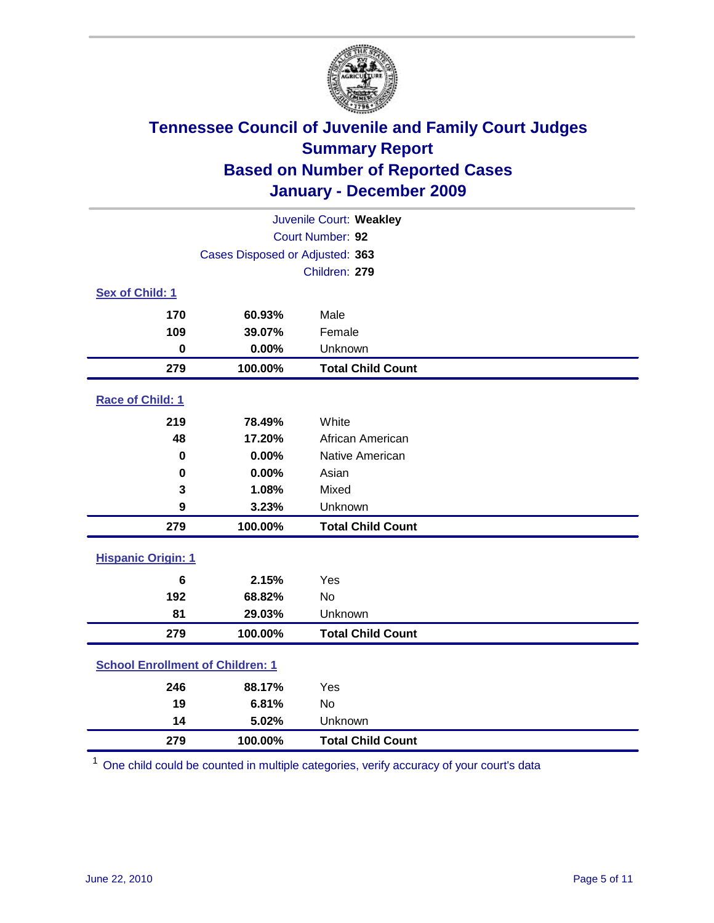

| Juvenile Court: Weakley                 |                                     |                          |  |  |
|-----------------------------------------|-------------------------------------|--------------------------|--|--|
|                                         | Court Number: 92                    |                          |  |  |
|                                         | Cases Disposed or Adjusted: 363     |                          |  |  |
|                                         |                                     | Children: 279            |  |  |
| Sex of Child: 1                         |                                     |                          |  |  |
| 170                                     | 60.93%                              | Male                     |  |  |
| 109                                     | 39.07%                              | Female                   |  |  |
| $\mathbf 0$                             | 0.00%                               | Unknown                  |  |  |
| 279                                     | 100.00%                             | <b>Total Child Count</b> |  |  |
| Race of Child: 1                        |                                     |                          |  |  |
| 219                                     | 78.49%                              | White                    |  |  |
| 48                                      | 17.20%                              | African American         |  |  |
| 0.00%<br>0                              |                                     | Native American          |  |  |
| 0                                       | 0.00%                               | Asian                    |  |  |
| 3                                       | 1.08%                               | Mixed                    |  |  |
| 9                                       | 3.23%                               | Unknown                  |  |  |
| 279                                     | 100.00%                             | <b>Total Child Count</b> |  |  |
| <b>Hispanic Origin: 1</b>               |                                     |                          |  |  |
| 6                                       | 2.15%                               | Yes                      |  |  |
| 192                                     | 68.82%                              | <b>No</b>                |  |  |
| 81                                      | 29.03%                              | Unknown                  |  |  |
| 279                                     | 100.00%                             | <b>Total Child Count</b> |  |  |
| <b>School Enrollment of Children: 1</b> |                                     |                          |  |  |
| 246                                     | 88.17%                              | Yes                      |  |  |
| 19                                      | 6.81%                               | No                       |  |  |
| 14                                      | 5.02%                               | Unknown                  |  |  |
| 279                                     | 100.00%<br><b>Total Child Count</b> |                          |  |  |

One child could be counted in multiple categories, verify accuracy of your court's data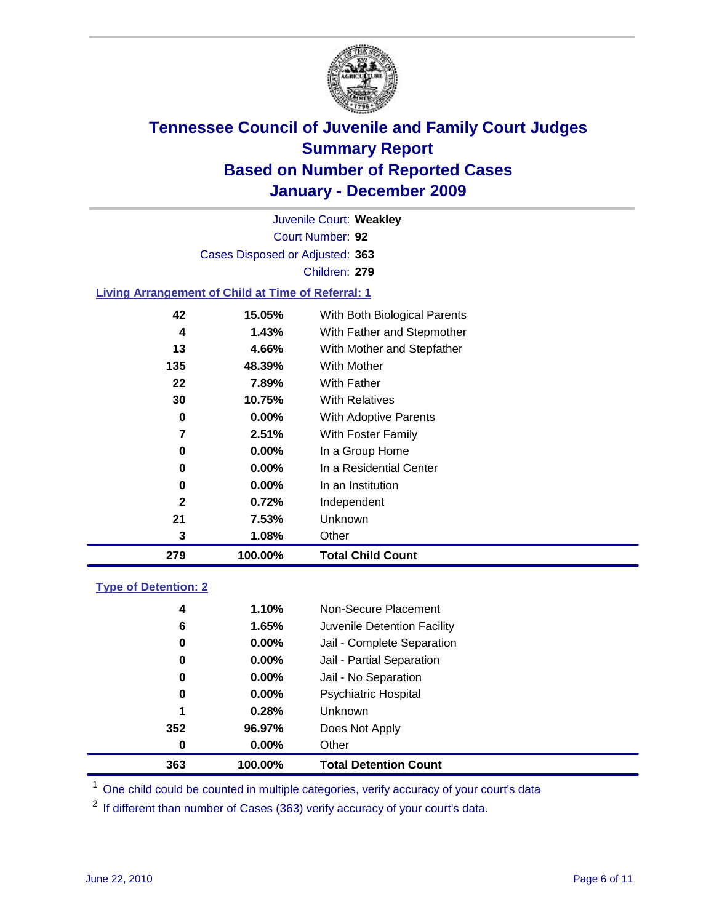

Court Number: **92** Juvenile Court: **Weakley** Cases Disposed or Adjusted: **363** Children: **279**

#### **Living Arrangement of Child at Time of Referral: 1**

| 279 | 100.00%  | <b>Total Child Count</b>     |
|-----|----------|------------------------------|
| 3   | 1.08%    | Other                        |
| 21  | 7.53%    | Unknown                      |
| 2   | 0.72%    | Independent                  |
| 0   | $0.00\%$ | In an Institution            |
| 0   | $0.00\%$ | In a Residential Center      |
| 0   | 0.00%    | In a Group Home              |
| 7   | 2.51%    | With Foster Family           |
| 0   | 0.00%    | With Adoptive Parents        |
| 30  | 10.75%   | <b>With Relatives</b>        |
| 22  | 7.89%    | With Father                  |
| 135 | 48.39%   | With Mother                  |
| 13  | 4.66%    | With Mother and Stepfather   |
| 4   | 1.43%    | With Father and Stepmother   |
| 42  | 15.05%   | With Both Biological Parents |
|     |          |                              |

#### **Type of Detention: 2**

| 363 | 100.00%  | <b>Total Detention Count</b> |
|-----|----------|------------------------------|
| 0   | $0.00\%$ | Other                        |
| 352 | 96.97%   | Does Not Apply               |
| 1   | 0.28%    | Unknown                      |
| 0   | 0.00%    | <b>Psychiatric Hospital</b>  |
| 0   | 0.00%    | Jail - No Separation         |
| 0   | $0.00\%$ | Jail - Partial Separation    |
| 0   | $0.00\%$ | Jail - Complete Separation   |
| 6   | 1.65%    | Juvenile Detention Facility  |
| 4   | 1.10%    | Non-Secure Placement         |
|     |          |                              |

<sup>1</sup> One child could be counted in multiple categories, verify accuracy of your court's data

<sup>2</sup> If different than number of Cases (363) verify accuracy of your court's data.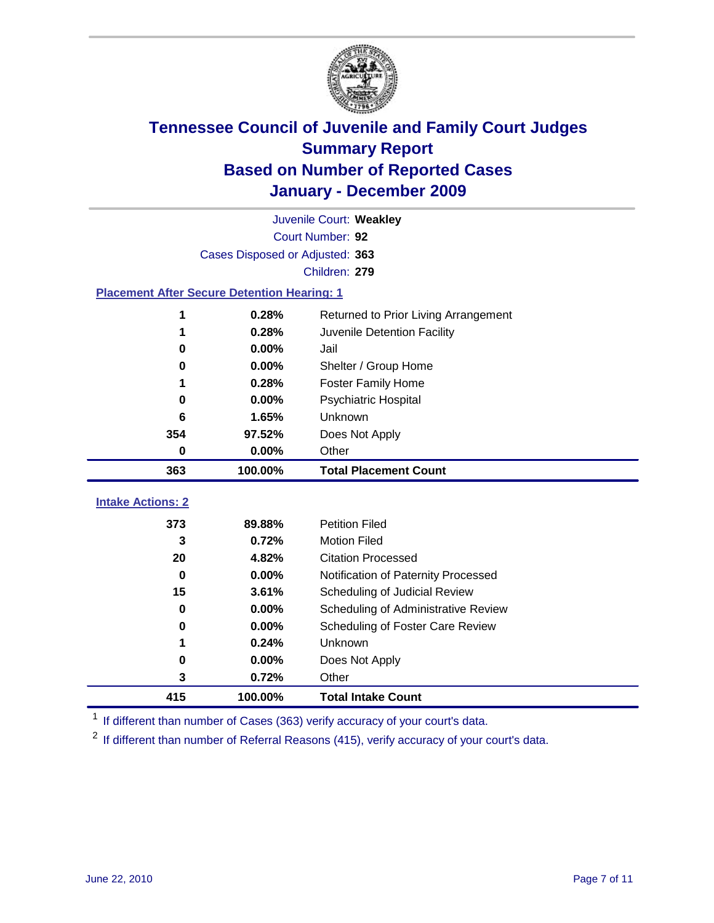

|                                                    | Juvenile Court: Weakley         |                                      |  |  |  |
|----------------------------------------------------|---------------------------------|--------------------------------------|--|--|--|
|                                                    | Court Number: 92                |                                      |  |  |  |
|                                                    | Cases Disposed or Adjusted: 363 |                                      |  |  |  |
|                                                    |                                 | Children: 279                        |  |  |  |
| <b>Placement After Secure Detention Hearing: 1</b> |                                 |                                      |  |  |  |
|                                                    | 0.28%                           | Returned to Prior Living Arrangement |  |  |  |
| 1                                                  | 0.28%                           | Juvenile Detention Facility          |  |  |  |
| 0                                                  | 0.00%                           | Jail                                 |  |  |  |
| 0                                                  | 0.00%                           | Shelter / Group Home                 |  |  |  |
| 1                                                  | 0.28%                           | Foster Family Home                   |  |  |  |
| 0                                                  | 0.00%                           | Psychiatric Hospital                 |  |  |  |
| 6                                                  | 1.65%                           | Unknown                              |  |  |  |
| 354                                                | 97.52%                          | Does Not Apply                       |  |  |  |
| $\bf{0}$                                           | 0.00%                           | Other                                |  |  |  |
| 363                                                | 100.00%                         | <b>Total Placement Count</b>         |  |  |  |
| <b>Intake Actions: 2</b>                           |                                 |                                      |  |  |  |
|                                                    |                                 |                                      |  |  |  |
| 373                                                | 89.88%                          | <b>Petition Filed</b>                |  |  |  |
| 3                                                  | 0.72%                           | <b>Motion Filed</b>                  |  |  |  |
| 20                                                 | 4.82%                           | <b>Citation Processed</b>            |  |  |  |
| 0                                                  | 0.00%                           | Notification of Paternity Processed  |  |  |  |
| 15                                                 | 3.61%                           | Scheduling of Judicial Review        |  |  |  |
| 0                                                  | 0.00%                           | Scheduling of Administrative Review  |  |  |  |
| 0                                                  | 0.00%                           | Scheduling of Foster Care Review     |  |  |  |
| 1                                                  | 0.24%                           | Unknown                              |  |  |  |
| 0                                                  | 0.00%                           | Does Not Apply                       |  |  |  |
| 3                                                  | 0.72%                           | Other                                |  |  |  |
| 415<br>100.00%<br><b>Total Intake Count</b>        |                                 |                                      |  |  |  |

<sup>1</sup> If different than number of Cases (363) verify accuracy of your court's data.

<sup>2</sup> If different than number of Referral Reasons (415), verify accuracy of your court's data.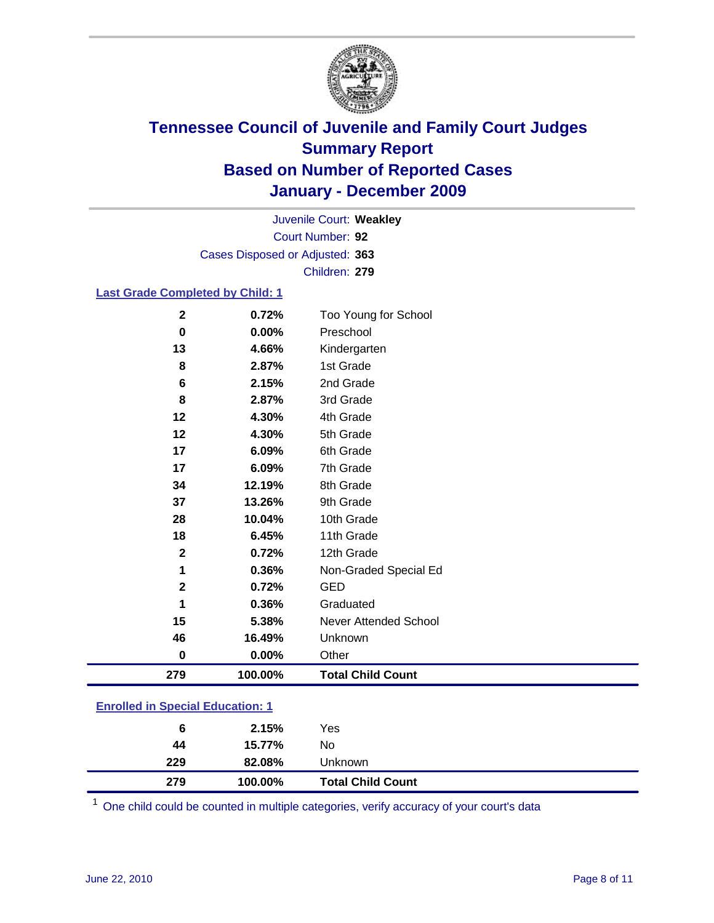

Court Number: **92** Juvenile Court: **Weakley** Cases Disposed or Adjusted: **363** Children: **279**

### **Last Grade Completed by Child: 1**

| $\mathbf{2}$                            | 0.72%   | Too Young for School         |  |
|-----------------------------------------|---------|------------------------------|--|
| 0                                       | 0.00%   | Preschool                    |  |
| 13                                      | 4.66%   | Kindergarten                 |  |
| 8                                       | 2.87%   | 1st Grade                    |  |
| 6                                       | 2.15%   | 2nd Grade                    |  |
| 8                                       | 2.87%   | 3rd Grade                    |  |
| 12                                      | 4.30%   | 4th Grade                    |  |
| 12                                      | 4.30%   | 5th Grade                    |  |
| 17                                      | 6.09%   | 6th Grade                    |  |
| 17                                      | 6.09%   | 7th Grade                    |  |
| 34                                      | 12.19%  | 8th Grade                    |  |
| 37                                      | 13.26%  | 9th Grade                    |  |
| 28                                      | 10.04%  | 10th Grade                   |  |
| 18                                      | 6.45%   | 11th Grade                   |  |
| $\mathbf 2$                             | 0.72%   | 12th Grade                   |  |
| 1                                       | 0.36%   | Non-Graded Special Ed        |  |
| $\overline{2}$                          | 0.72%   | <b>GED</b>                   |  |
| 1                                       | 0.36%   | Graduated                    |  |
| 15                                      | 5.38%   | <b>Never Attended School</b> |  |
| 46                                      | 16.49%  | Unknown                      |  |
| 0                                       | 0.00%   | Other                        |  |
| 279                                     | 100.00% | <b>Total Child Count</b>     |  |
| <b>Enrolled in Special Education: 1</b> |         |                              |  |

|  |  | <b>Enrolled in Special Education: 1</b> |  |
|--|--|-----------------------------------------|--|
|  |  |                                         |  |
|  |  |                                         |  |

| 279 | 100.00% | <b>Total Child Count</b> |
|-----|---------|--------------------------|
| 229 | 82.08%  | Unknown                  |
| 44  | 15.77%  | No                       |
| 6   | 2.15%   | Yes                      |

One child could be counted in multiple categories, verify accuracy of your court's data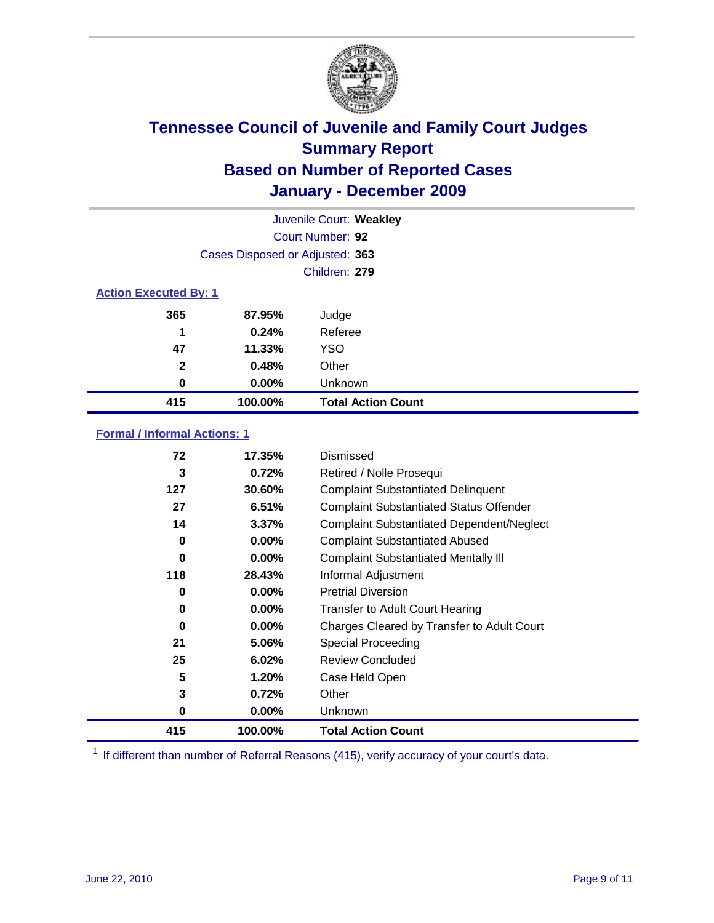

|                              |                                 | Juvenile Court: Weakley   |
|------------------------------|---------------------------------|---------------------------|
|                              |                                 | Court Number: 92          |
|                              | Cases Disposed or Adjusted: 363 |                           |
|                              |                                 | Children: 279             |
| <b>Action Executed By: 1</b> |                                 |                           |
| 365                          | 87.95%                          | Judge                     |
| 1                            | 0.24%                           | Referee                   |
| 47                           | 11.33%                          | <b>YSO</b>                |
| $\mathbf{2}$                 | 0.48%                           | Other                     |
| 0                            | $0.00\%$                        | Unknown                   |
| 415                          | 100.00%                         | <b>Total Action Count</b> |

### **Formal / Informal Actions: 1**

| 72  | 17.35%   | Dismissed                                        |
|-----|----------|--------------------------------------------------|
| 3   | 0.72%    | Retired / Nolle Prosequi                         |
| 127 | 30.60%   | <b>Complaint Substantiated Delinquent</b>        |
| 27  | 6.51%    | <b>Complaint Substantiated Status Offender</b>   |
| 14  | 3.37%    | <b>Complaint Substantiated Dependent/Neglect</b> |
| 0   | 0.00%    | <b>Complaint Substantiated Abused</b>            |
| 0   | $0.00\%$ | <b>Complaint Substantiated Mentally III</b>      |
| 118 | 28.43%   | Informal Adjustment                              |
| 0   | $0.00\%$ | <b>Pretrial Diversion</b>                        |
| 0   | $0.00\%$ | <b>Transfer to Adult Court Hearing</b>           |
| 0   | 0.00%    | Charges Cleared by Transfer to Adult Court       |
| 21  | 5.06%    | <b>Special Proceeding</b>                        |
| 25  | 6.02%    | <b>Review Concluded</b>                          |
| 5   | 1.20%    | Case Held Open                                   |
| 3   | 0.72%    | Other                                            |
| 0   | $0.00\%$ | <b>Unknown</b>                                   |
| 415 | 100.00%  | <b>Total Action Count</b>                        |

<sup>1</sup> If different than number of Referral Reasons (415), verify accuracy of your court's data.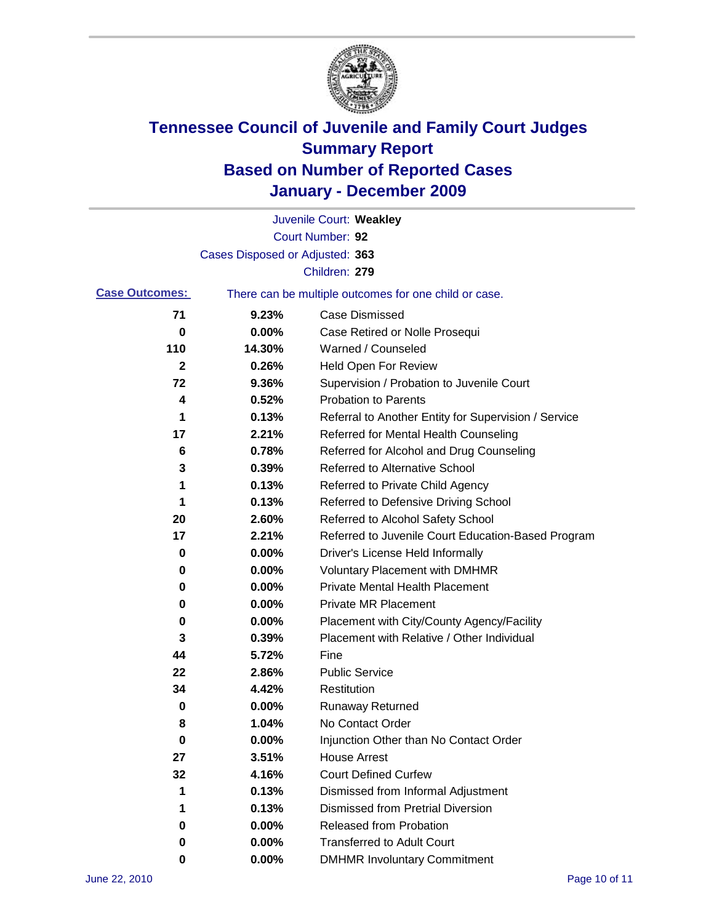

|                       |                                 | Juvenile Court: Weakley                               |
|-----------------------|---------------------------------|-------------------------------------------------------|
|                       |                                 | Court Number: 92                                      |
|                       | Cases Disposed or Adjusted: 363 |                                                       |
|                       |                                 | Children: 279                                         |
| <b>Case Outcomes:</b> |                                 | There can be multiple outcomes for one child or case. |
| 71                    | 9.23%                           | <b>Case Dismissed</b>                                 |
| 0                     | 0.00%                           | Case Retired or Nolle Prosequi                        |
| 110                   | 14.30%                          | Warned / Counseled                                    |
| $\mathbf{2}$          | 0.26%                           | <b>Held Open For Review</b>                           |
| 72                    | 9.36%                           | Supervision / Probation to Juvenile Court             |
| 4                     | 0.52%                           | <b>Probation to Parents</b>                           |
| 1                     | 0.13%                           | Referral to Another Entity for Supervision / Service  |
| 17                    | 2.21%                           | Referred for Mental Health Counseling                 |
| 6                     | 0.78%                           | Referred for Alcohol and Drug Counseling              |
| 3                     | 0.39%                           | <b>Referred to Alternative School</b>                 |
| 1                     | 0.13%                           | Referred to Private Child Agency                      |
| 1                     | 0.13%                           | Referred to Defensive Driving School                  |
| 20                    | 2.60%                           | Referred to Alcohol Safety School                     |
| 17                    | 2.21%                           | Referred to Juvenile Court Education-Based Program    |
| 0                     | 0.00%                           | Driver's License Held Informally                      |
| 0                     | 0.00%                           | <b>Voluntary Placement with DMHMR</b>                 |
| 0                     | 0.00%                           | <b>Private Mental Health Placement</b>                |
| 0                     | 0.00%                           | <b>Private MR Placement</b>                           |
| 0                     | 0.00%                           | Placement with City/County Agency/Facility            |
| 3                     | 0.39%                           | Placement with Relative / Other Individual            |
| 44                    | 5.72%                           | Fine                                                  |
| 22                    | 2.86%                           | <b>Public Service</b>                                 |
| 34                    | 4.42%                           | Restitution                                           |
| 0                     | 0.00%                           | <b>Runaway Returned</b>                               |
| 8                     | 1.04%                           | No Contact Order                                      |
| 0                     | 0.00%                           | Injunction Other than No Contact Order                |
| 27                    | 3.51%                           | <b>House Arrest</b>                                   |
| 32                    | 4.16%                           | <b>Court Defined Curfew</b>                           |
| 1                     | 0.13%                           | Dismissed from Informal Adjustment                    |
| 1                     | 0.13%                           | <b>Dismissed from Pretrial Diversion</b>              |
| 0                     | 0.00%                           | Released from Probation                               |
| 0                     | 0.00%                           | <b>Transferred to Adult Court</b>                     |
| 0                     | $0.00\%$                        | <b>DMHMR Involuntary Commitment</b>                   |